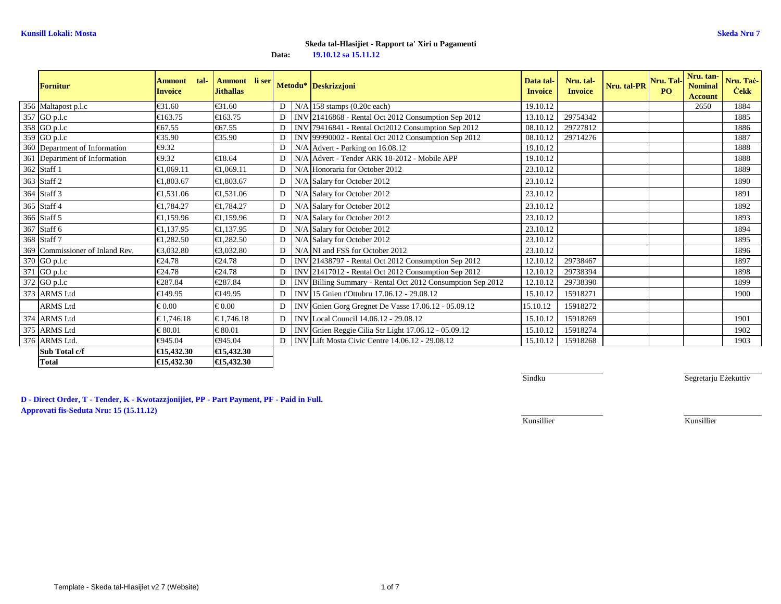| <b>Fornitur</b>                 | tal-<br><b>Ammont</b><br><b>Invoice</b> | Ammont li ser<br><b>Jithallas</b> |                |            | Metodu* Deskrizzjoni                                   | Data tal-<br><b>Invoice</b> | Nru. tal-<br><b>Invoice</b> | Nru. tal-PR | Nru. Tal-<br>P() | Nru. tan-<br><b>Nominal</b><br><b>Account</b> | Nru. Taċ-<br><b>Cekk</b> |
|---------------------------------|-----------------------------------------|-----------------------------------|----------------|------------|--------------------------------------------------------|-----------------------------|-----------------------------|-------------|------------------|-----------------------------------------------|--------------------------|
| 356 Maltapost p.l.c             | €31.60                                  | €31.60                            | $\mathbf{D}$   | N/A        | $158$ stamps $(0.20c$ each)                            | 19.10.12                    |                             |             |                  | 2650                                          | 1884                     |
| 357 GO p.l.c                    | €163.75                                 | €163.75                           | $\overline{D}$ |            | INV 21416868 - Rental Oct 2012 Consumption Sep 2012    | 13.10.1                     | 29754342                    |             |                  |                                               | 1885                     |
| 358 GO p.l.c                    | €67.55                                  | €67.55                            | D.             |            | INV 79416841 - Rental Oct2012 Consumption Sep 2012     | 08.10.1                     | 29727812                    |             |                  |                                               | 1886                     |
| 359 GO p.l.c                    | €35.90                                  | €35.90                            | D              |            | INV 99990002 - Rental Oct 2012 Consumption Sep 2012    | 08.10.12                    | 29714276                    |             |                  |                                               | 1887                     |
| 360 Department of Information   | €9.32                                   |                                   | D              |            | N/A Advert - Parking on 16.08.12                       | 19.10.12                    |                             |             |                  |                                               | 1888                     |
| 361 Department of Information   | €9.32                                   | €18.64                            | D              | N/A        | Advert - Tender ARK 18-2012 - Mobile APP               | 19.10.12                    |                             |             |                  |                                               | 1888                     |
| 362 Staff 1                     | €1,069.11                               | €1,069.11                         | $\mathbf{D}$   | N/A        | Honoraria for October 2012                             | 23.10.12                    |                             |             |                  |                                               | 1889                     |
| 363 Staff 2                     | €1.803.67                               | €1.803.67                         | $\mathbf{D}$   | N/A        | Salary for October 2012                                | 23.10.12                    |                             |             |                  |                                               | 1890                     |
| 364 Staff 3                     | €1,531.06                               | €1,531.06                         | $\mathbf{D}$   | N/A        | Salary for October 2012                                | 23.10.12                    |                             |             |                  |                                               | 1891                     |
| 365 Staff 4                     | €1.784.27                               | €1.784.27                         | $\overline{D}$ | N/A        | Salary for October 2012                                | 23.10.12                    |                             |             |                  |                                               | 1892                     |
| 366 Staff 5                     | €1,159.96                               | €1,159.96                         | $\overline{D}$ | N/A        | Salary for October 2012                                | 23.10.12                    |                             |             |                  |                                               | 1893                     |
| 367 Staff 6                     | €1.137.95                               | €1,137.95                         | $\mathbf{D}$   | N/A        | Salary for October 2012                                | 23.10.12                    |                             |             |                  |                                               | 1894                     |
| 368 Staff 7                     | €1,282.50                               | €1,282.50                         | $\overline{D}$ | N/A        | Salary for October 2012                                | 23.10.12                    |                             |             |                  |                                               | 1895                     |
| 369 Commissioner of Inland Rev. | €3.032.80                               | €3.032.80                         | $\mathbf{D}$   | N/A        | NI and FSS for October 2012                            | 23.10.12                    |                             |             |                  |                                               | 1896                     |
| 370 GO p.l.c                    | €24.78                                  | €24.78                            | D              |            | INV 21438797 - Rental Oct 2012 Consumption Sep 2012    | 12.10.1                     | 29738467                    |             |                  |                                               | 1897                     |
| 371 GO p.l.c                    | €24.78                                  | €24.78                            |                |            | INV 21417012 - Rental Oct 2012 Consumption Sep 2012    | 12.10.12                    | 29738394                    |             |                  |                                               | 1898                     |
| 372 GO p.l.c                    | €287.84                                 | €287.84                           | $\mathbf{D}$   | <b>INV</b> | Billing Summary - Rental Oct 2012 Consumption Sep 2012 | 12.10.1                     | 29738390                    |             |                  |                                               | 1899                     |
| 373 ARMS Ltd                    | €149.95                                 | €149.95                           | D              | <b>INV</b> | 15 Gnien t'Ottubru 17.06.12 - 29.08.12                 | 15.10.12                    | 15918271                    |             |                  |                                               | 1900                     |
| <b>ARMS Ltd</b>                 | $\epsilon$ 0.00                         | $\epsilon$ 0.00                   | D              | <b>INV</b> | Gnien Gorg Gregnet De Vasse 17.06.12 - 05.09.12        | 15.10.12                    | 15918272                    |             |                  |                                               |                          |
| 374 ARMS Ltd                    | € 1.746.18                              | € 1.746.18                        | D              | <b>INV</b> | Local Council 14.06.12 - 29.08.12                      | 15.10.12                    | 15918269                    |             |                  |                                               | 1901                     |
| 375 ARMS Ltd                    | $\epsilon$ 80.01                        | $\epsilon$ 80.01                  | D              |            | INV Gnien Reggie Cilia Str Light 17.06.12 - 05.09.12   | 15.10.12                    | 15918274                    |             |                  |                                               | 1902                     |
| 376 ARMS Ltd.                   | €945.04                                 | €945.04                           | D <sub>1</sub> | INV        | Lift Mosta Civic Centre 14.06.12 - 29.08.12            | 15.10.12                    | 15918268                    |             |                  |                                               | 1903                     |
| Sub Total c/f                   | €15,432.30                              | €15,432.30                        |                |            |                                                        |                             |                             |             |                  |                                               |                          |
| <b>Total</b>                    | €15.432.30                              | €15,432.30                        |                |            |                                                        |                             |                             |             |                  |                                               |                          |

Sindku

Segretarju Eżekuttiv

**D - Direct Order, T - Tender, K - Kwotazzjonijiet, PP - Part Payment, PF - Paid in Full. Approvati fis-Seduta Nru: 15 (15.11.12)**

Kunsillier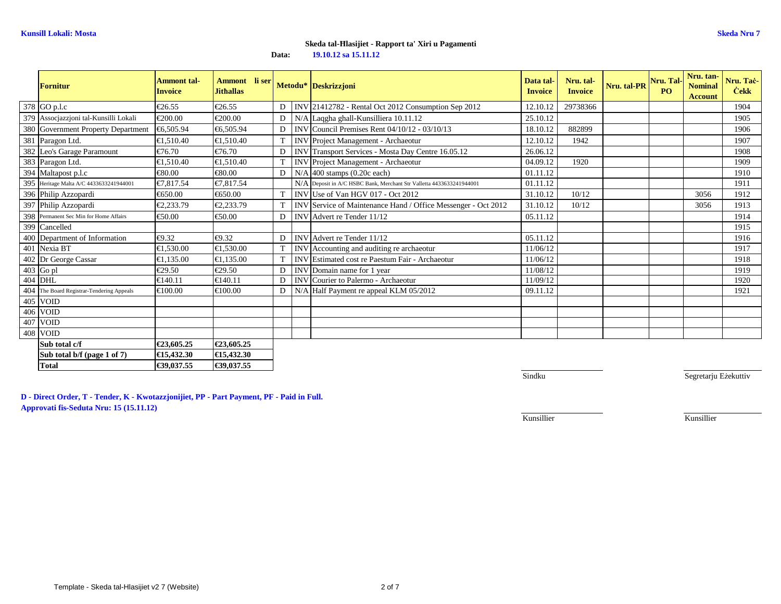| <b>Fornitur</b>                           | <b>Ammont tal-</b><br><b>Invoice</b> | Ammont li ser<br><b>Jithallas</b> |                |            | Metodu* Deskrizzjoni                                                | Data tal-<br><b>Invoice</b> | Nru. tal-<br><b>Invoice</b> | Nru. tal-PR | Nru. Tal-<br>P <sub>O</sub> | Nru. tan-<br><b>Nominal</b><br><b>Account</b> | Nru. Taċ-<br><b>Cekk</b> |
|-------------------------------------------|--------------------------------------|-----------------------------------|----------------|------------|---------------------------------------------------------------------|-----------------------------|-----------------------------|-------------|-----------------------------|-----------------------------------------------|--------------------------|
| 378 GO p.l.c                              | €26.55                               | €26.55                            |                |            | D   INV 21412782 - Rental Oct 2012 Consumption Sep 2012             | 12.10.1                     | 29738366                    |             |                             |                                               | 1904                     |
| 379 Assocjazzjoni tal-Kunsilli Lokali     | €200.00                              | €200.00                           | $\mathbf{D}$   |            | N/A Laqgha ghall-Kunsilliera 10.11.12                               | 25.10.12                    |                             |             |                             |                                               | 1905                     |
| 380 Government Property Department        | €6.505.94                            | €6.505.94                         | D              |            | INV Council Premises Rent $04/10/12 - 03/10/3$                      | 18.10.12                    | 882899                      |             |                             |                                               | 1906                     |
| 381 Paragon Ltd.                          | €1,510.40                            | €1,510.40                         |                |            | INV Project Management - Archaeotur                                 | 12.10.12                    | 1942                        |             |                             |                                               | 1907                     |
| 382 Leo's Garage Paramount                | €76.70                               | €76.70                            | D              |            | INV Transport Services - Mosta Day Cutre 16.05.12                   | 26.06.12                    |                             |             |                             |                                               | 1908                     |
| 383 Paragon Ltd.                          | €1,510.40                            | €1,510.40                         | $\mathbf T$    | <b>INV</b> | Project Management - Archaeotur                                     | 04.09.12                    | 1920                        |             |                             |                                               | 1909                     |
| 394 Maltapost p.l.c                       | €80.00                               | €80.00                            | D <sub>1</sub> |            | $N/A$ 400 stamps (0.20c each)                                       | 01.11.12                    |                             |             |                             |                                               | 1910                     |
| 395 Heritage Malta A/C 4433633241944001   | €7,817.54                            | €7.817.54                         |                |            | N/ADeposit in A/C HSBC Bank, Merchant Str Valletta 4433633241944001 | 01.11.12                    |                             |             |                             |                                               | 1911                     |
| 396 Philip Azzopardi                      | €650.00                              | €650.00                           | T              | <b>INV</b> | Use of Van HGV 017 - Oct 2012                                       | 31.10.12                    | 10/12                       |             |                             | 3056                                          | 1912                     |
| 397 Philip Azzopardi                      | €2,233.79                            | €2,233.79                         |                |            | INV Service of Maintenance Hand / Office Messenge - Oct 2012        | 31.10.12                    | 10/12                       |             |                             | 3056                                          | 1913                     |
| 398 Permanent Sec Min for Home Affairs    | €50.00                               | €50.00                            | D.             |            | INV Advert re Tender 11/12                                          | 05.11.12                    |                             |             |                             |                                               | 1914                     |
| 399 Cancelled                             |                                      |                                   |                |            |                                                                     |                             |                             |             |                             |                                               | 1915                     |
| 400 Department of Information             | €9.32                                | €9.32                             | $\mathbf{D}$   |            | INV Advert re Tender 11/12                                          | 05.11.12                    |                             |             |                             |                                               | 1916                     |
| 401 Nexia BT                              | €1.530.00                            | €1.530.00                         |                | <b>INV</b> | Accounting and auditing re archaeotur                               | 11/06/12                    |                             |             |                             |                                               | 1917                     |
| 402 Dr George Cassar                      | €1.135.00                            | €1,135.00                         |                | <b>INV</b> | Estimated cost re Paestum Fair - Archaetur                          | 11/06/12                    |                             |             |                             |                                               | 1918                     |
| $403$ Go pl                               | €29.50                               | €29.50                            | D              | <b>INV</b> | Domain name for 1 year                                              | 11/08/12                    |                             |             |                             |                                               | 1919                     |
| 404 DHL                                   | €140.11                              | €140.11                           | $\mathbf{D}$   | <b>INV</b> | Courier to Palermo - Archaeotur                                     | 11/09/12                    |                             |             |                             |                                               | 1920                     |
| 404 The Board Registrar-Tendering Appeals | €100.00                              | €100.00                           | $\overline{D}$ |            | N/A Half Payment re appeal KLM 05/2012                              | 09.11.12                    |                             |             |                             |                                               | 1921                     |
| 405 VOID                                  |                                      |                                   |                |            |                                                                     |                             |                             |             |                             |                                               |                          |
| 406 VOID                                  |                                      |                                   |                |            |                                                                     |                             |                             |             |                             |                                               |                          |
| 407 VOID                                  |                                      |                                   |                |            |                                                                     |                             |                             |             |                             |                                               |                          |
| 408 VOID                                  |                                      |                                   |                |            |                                                                     |                             |                             |             |                             |                                               |                          |
| Sub total c/f                             | €23,605.25                           | €23,605.25                        |                |            |                                                                     |                             |                             |             |                             |                                               |                          |
| Sub total b/f (page 1 of 7)               | €15,432.30                           | €15,432.30                        |                |            |                                                                     |                             |                             |             |                             |                                               |                          |
| <b>Total</b>                              | €39,037.55                           | €39,037.55                        |                |            |                                                                     |                             |                             |             |                             |                                               |                          |

**Sindku** 

Segretarju Eżekuttiv

**D - Direct Order, T - Tender, K - Kwotazzjonijiet, PP - Part Payment, PF - Paid in Full. Approvati fis-Seduta Nru: 15 (15.11.12)**

Kunsillier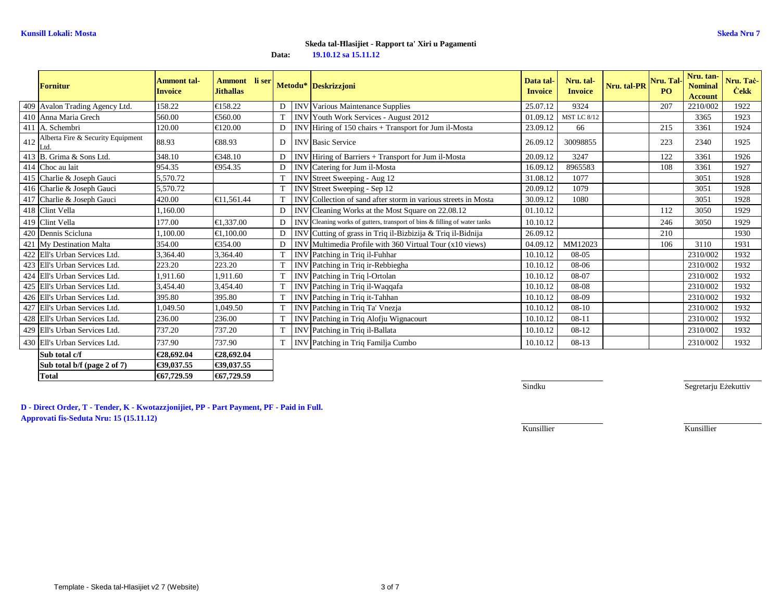| <b>Fornitur</b>                               | Ammont tal-<br><b>Invoice</b> | Ammont li ser<br><b>Jithallas</b> |   | Metodu* Deskrizzjoni                                                      | Data tal-<br><b>Invoice</b> | Nru. tal-<br><b>Invoice</b> | Nru. tal-PR | Nru. Tal-<br><b>PO</b> | Nru. tan-<br><b>Nominal</b><br><b>Account</b> | Nru. Taċ-<br><b>Cekk</b> |
|-----------------------------------------------|-------------------------------|-----------------------------------|---|---------------------------------------------------------------------------|-----------------------------|-----------------------------|-------------|------------------------|-----------------------------------------------|--------------------------|
| 409 Avalon Trading Agency Ltd.                | 158.22                        | €158.22                           | D | <b>INV</b> Various Maintenance Supplies                                   | 25.07.12                    | 9324                        |             | 207                    | 2210/002                                      | 1922                     |
| 410 Anna Maria Grech                          | 560.00                        | €560.00                           | T | INV Youth Work Services - August 2012                                     | 01.09.12                    | <b>MST LC 8/12</b>          |             |                        | 3365                                          | 1923                     |
| 411 A. Schembri                               | 120.00                        | €120.00                           | E | INV Hiring of 150 chairs + Transport for Jum il-Mosta                     | 23.09.12                    | 66                          |             | 215                    | 3361                                          | 1924                     |
| 412 Alberta Fire & Security Equipment<br>Ltd. | 88.93                         | €88.93                            | D | <b>INV Basic Service</b>                                                  | 26.09.12                    | 30098855                    |             | 223                    | 2340                                          | 1925                     |
| 413 B. Grima & Sons Ltd.                      | 348.10                        | €348.10                           | D | INV Hiring of Barriers + Transport for Jum il Mosta                       | 20.09.12                    | 3247                        |             | 122                    | 3361                                          | 1926                     |
| 414 Choc au lait                              | 954.35                        | €954.35                           | D | INV Catering for Jum il-Mosta                                             | 16.09.12                    | 8965583                     |             | 108                    | 3361                                          | 1927                     |
| 415 Charlie & Joseph Gauci                    | 5,570.72                      |                                   |   | INV Street Sweeping - Aug 12                                              | 31.08.12                    | 1077                        |             |                        | 3051                                          | 1928                     |
| 416 Charlie & Joseph Gauci                    | 5,570.72                      |                                   |   | INV Street Sweeping - Sep 12                                              | 20.09.12                    | 1079                        |             |                        | 3051                                          | 1928                     |
| 417 Charlie & Joseph Gauci                    | 420.00                        | €11,561.44                        |   | INV Collection of sand after storm in various streets in Mosta            | 30.09.12                    | 1080                        |             |                        | 3051                                          | 1928                     |
| 418 Clint Vella                               | 1,160.00                      |                                   | D | INV Cleaning Works at the Most Square on 22.08.12                         | 01.10.12                    |                             |             | 112                    | 3050                                          | 1929                     |
| 419 Clint Vella                               | 177.00                        | €1,337.00                         | E | INV Cleaning works of gutters, transport of bins & filling of water tanks | 10.10.12                    |                             |             | 246                    | 3050                                          | 1929                     |
| 420 Dennis Scicluna                           | 1.100.00                      | €1,100.00                         | D | INV Cutting of grass in Triq il-Bizbizija & Triq il-Bidnija               | 26.09.12                    |                             |             | 210                    |                                               | 1930                     |
| 421 My Destination Malta                      | 354.00                        | €354.00                           | D | INV Multimedia Profile with 360 Virtual Tour $\&10$ views)                | 04.09.12                    | MM12023                     |             | 106                    | 3110                                          | 1931                     |
| 422 Ell's Urban Services Ltd.                 | 3,364.40                      | 3,364.40                          |   | INV Patching in Triq il-Fuhhar                                            | 10.10.12                    | 08-05                       |             |                        | 2310/002                                      | 1932                     |
| 423 Ell's Urban Services Ltd.                 | 223.20                        | 223.20                            |   | INV Patching in Triq ir-Rebbiegha                                         | 10.10.12                    | 08-06                       |             |                        | 2310/002                                      | 1932                     |
| 424 Ell's Urban Services Ltd.                 | 1,911.60                      | 1,911.60                          |   | INV Patching in Triq l-Ortolan                                            | 10.10.12                    | 08-07                       |             |                        | 2310/002                                      | 1932                     |
| 425 Ell's Urban Services Ltd.                 | 3,454.40                      | 3,454.40                          |   | INV Patching in Triq il-Waqqafa                                           | 10.10.12                    | 08-08                       |             |                        | 2310/002                                      | 1932                     |
| 426 Ell's Urban Services Ltd.                 | 395.80                        | 395.80                            |   | INV Patching in Triq it-Tahhan                                            | 10.10.12                    | 08-09                       |             |                        | 2310/002                                      | 1932                     |
| 427 Ell's Urban Services Ltd.                 | 1,049.50                      | 1,049.50                          |   | INV Patching in Triq Ta' Vnezja                                           | 10.10.12                    | $08 - 10$                   |             |                        | 2310/002                                      | 1932                     |
| 428 Ell's Urban Services Ltd.                 | 236.00                        | 236.00                            |   | INV Patching in Triq Alofju Wignacourt                                    | 10.10.12                    | $08-11$                     |             |                        | 2310/002                                      | 1932                     |
| 429 Ell's Urban Services Ltd.                 | 737.20                        | 737.20                            |   | INV Patching in Triq il-Ballata                                           | 10.10.12                    | $08-12$                     |             |                        | 2310/002                                      | 1932                     |
| 430 Ell's Urban Services Ltd.                 | 737.90                        | 737.90                            |   | INV Patching in Triq Familja Cumbo                                        | 10.10.12                    | 08-13                       |             |                        | 2310/002                                      | 1932                     |
| Sub total c/f                                 | €28,692.04                    | €28,692.04                        |   |                                                                           |                             |                             |             |                        |                                               |                          |
| Sub total $b/f$ (page 2 of 7)                 | €39,037.55                    | €39,037.55                        |   |                                                                           |                             |                             |             |                        |                                               |                          |

**D - Direct Order, T - Tender, K - Kwotazzjonijiet, PP - Part Payment, PF - Paid in Full. Approvati fis-Seduta Nru: 15 (15.11.12)**

**Total €67,729.59 €67,729.59**

**Sindku** 

Segretarju Eżekuttiv

Kunsillier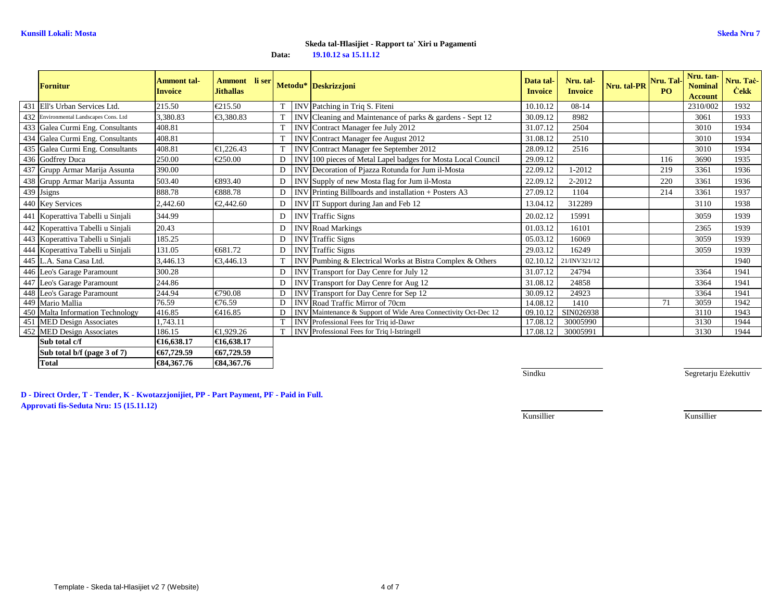|     | <b>Fornitur</b>                    | Ammont tal-<br><b>Invoice</b> | Ammont li ser<br><b>Jithallas</b> |             |            | Metodu* Deskrizzjoni                                           | Data tal-<br><b>Invoice</b> | Nru. tal-<br><b>Invoice</b> | Nru. tal-PR | Nru. Tal-<br>P <sub>O</sub> | Nru. tan-<br><b>Nominal</b><br><b>Account</b> | Nru. Tač-<br><b>Cekk</b> |
|-----|------------------------------------|-------------------------------|-----------------------------------|-------------|------------|----------------------------------------------------------------|-----------------------------|-----------------------------|-------------|-----------------------------|-----------------------------------------------|--------------------------|
|     | 431 Ell's Urban Services Ltd.      | 215.50                        | €215.50                           |             |            | INV Patching in Triq S. Fiteni                                 | 10.10.12                    | $08 - 14$                   |             |                             | 2310/002                                      | 1932                     |
| 432 | Environmental Landscapes Cons. Ltd | 3.380.83                      | €3.380.83                         |             |            | INV Cleaning and Maintenance of parks & gardens - Sept 12      | 30.09.12                    | 8982                        |             |                             | 3061                                          | 1933                     |
|     | 433 Galea Curmi Eng. Consultants   | 408.81                        |                                   | T           |            | <b>INV</b> Contract Manager fee July 2012                      | 31.07.12                    | 2504                        |             |                             | 3010                                          | 1934                     |
|     | 434 Galea Curmi Eng. Consultants   | 408.81                        |                                   |             |            | INV Contract Manager fee August 2012                           | 31.08.12                    | 2510                        |             |                             | 3010                                          | 1934                     |
|     | 435 Galea Curmi Eng. Consultants   | 408.81                        | €1.226.43                         | $\mathbf T$ |            | INV Contract Manager fee September 2012                        | 28.09.12                    | 2516                        |             |                             | 3010                                          | 1934                     |
|     | 436 Godfrey Duca                   | 250.00                        | €250.00                           | E           |            | INV 100 pieces of Metal Lapel badges for Mosta Local Council   | 29.09.12                    |                             |             | 116                         | 3690                                          | 1935                     |
|     | 437 Grupp Armar Marija Assunta     | 390.00                        |                                   | D           |            | INV Decoration of Pjazza Rotunda for Jum il-Mosta              | 22.09.12                    | 1-2012                      |             | 219                         | 3361                                          | 1936                     |
|     | 438 Grupp Armar Marija Assunta     | 503.40                        | €893.40                           | D           |            | INV Supply of new Mosta flag for Jum il-Mosta                  | 22.09.12                    | 2-2012                      |             | 220                         | 3361                                          | 1936                     |
|     | 439 Jsigns                         | 888.78                        | €888.78                           | D           |            | INV Printing Billboards and installation + Posters A3          | 27.09.12                    | 1104                        |             | 214                         | 3361                                          | 1937                     |
|     | 440 Key Services                   | 2,442.60                      | €2,442.60                         | $\Gamma$    |            | INV IT Support during Jan and Feb 12                           | 13.04.12                    | 312289                      |             |                             | 3110                                          | 1938                     |
|     | 441 Koperattiva Tabelli u Sinjali  | 344.99                        |                                   | D           |            | <b>INV</b> Traffic Signs                                       | 20.02.12                    | 15991                       |             |                             | 3059                                          | 1939                     |
|     | 442 Koperattiva Tabelli u Sinjali  | 20.43                         |                                   | D           |            | <b>INV</b> Road Markings                                       | 01.03.12                    | 16101                       |             |                             | 2365                                          | 1939                     |
|     | 443 Koperattiva Tabelli u Sinjali  | 185.25                        |                                   | D           |            | <b>INV</b> Traffic Signs                                       | 05.03.12                    | 16069                       |             |                             | 3059                                          | 1939                     |
|     | 444 Koperattiva Tabelli u Sinjali  | 131.05                        | €681.72                           | D           | <b>INV</b> | <b>Traffic Signs</b>                                           | 29.03.12                    | 16249                       |             |                             | 3059                                          | 1939                     |
|     | 445 L.A. Sana Casa Ltd.            | 3.446.13                      | €3,446.13                         | $\mathbf T$ |            | INV Pumbing & Electrical Works at Bistra Complex & Others      | 02.10.12                    | 21/INV321/12                |             |                             |                                               | 1940                     |
|     | 446 Leo's Garage Paramount         | 300.28                        |                                   | D           |            | INV Transport for Day Cenre for July 12                        | 31.07.12                    | 24794                       |             |                             | 3364                                          | 1941                     |
|     | 447 Leo's Garage Paramount         | 244.86                        |                                   | D           |            | INV Transport for Day Cenre for Aug 12                         | 31.08.12                    | 24858                       |             |                             | 3364                                          | 1941                     |
|     | 448 Leo's Garage Paramount         | 244.94                        | €790.08                           | D           |            | INV Transport for Day Cenre for Sep 12                         | 30.09.12                    | 24923                       |             |                             | 3364                                          | 1941                     |
|     | 449 Mario Mallia                   | 76.59                         | €76.59                            | D           |            | INV Road Traffic Mirror of 70cm                                | 14.08.12                    | 1410                        |             | 71                          | 3059                                          | 1942                     |
|     | 450 Malta Information Technology   | 416.85                        | €416.85                           | E           |            | INV Maintenance & Support of Wide Area Connectivity Oct-Dec 12 | 09.10.12                    | SIN026938                   |             |                             | 3110                                          | 1943                     |
|     | 451 MED Design Associates          | 1,743.11                      |                                   |             |            | <b>INV</b> Professional Fees for Triq id-Dawr                  | 17.08.12                    | 30005990                    |             |                             | 3130                                          | 1944                     |
|     | 452 MED Design Associates          | 186.15                        | €1,929.26                         |             |            | <b>INV</b> Professional Fees for Triq 1-Istringell             | 17.08.12                    | 30005991                    |             |                             | 3130                                          | 1944                     |
|     | Sub total c/f                      | €16.638.17                    | €16,638.17                        |             |            |                                                                |                             |                             |             |                             |                                               |                          |
|     | Sub total b/f (page 3 of 7)        | €67,729.59                    | €67,729.59                        |             |            |                                                                |                             |                             |             |                             |                                               |                          |

**Sindku** 

Segretarju Eżekuttiv

**D - Direct Order, T - Tender, K - Kwotazzjonijiet, PP - Part Payment, PF - Paid in Full.Approvati fis-Seduta Nru: 15 (15.11.12)**

**Total €84,367.76 €84,367.76**

Kunsillier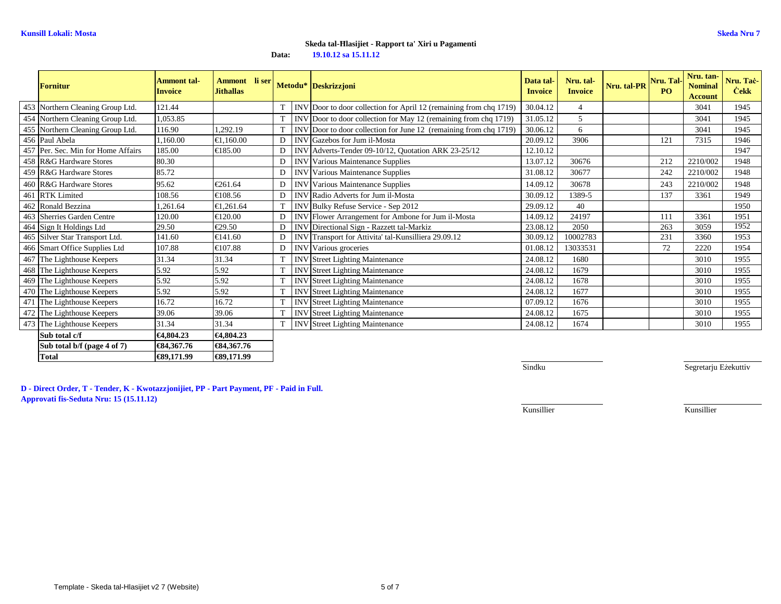| <b>Fornitur</b>                    | <b>Ammont tal-</b><br><b>Invoice</b> | Ammont li ser<br><b>Jithallas</b> |             | Metodu* Deskrizzjoni                                               | Data tal-<br><b>Invoice</b> | Nru. tal-<br><b>Invoice</b> | Nru. tal-PR | Nru. Tal-<br>P <sub>O</sub> | Nru. tan-<br><b>Nominal</b><br><b>Account</b> | Nru. Taċ-<br><b>Cekk</b> |
|------------------------------------|--------------------------------------|-----------------------------------|-------------|--------------------------------------------------------------------|-----------------------------|-----------------------------|-------------|-----------------------------|-----------------------------------------------|--------------------------|
| 453 Northern Cleaning Group Ltd.   | 121.44                               |                                   |             | INV Door to door collection for April 12 (remaining from chq 1719) | 30.04.12                    | $\overline{\mathcal{L}}$    |             |                             | 3041                                          | 1945                     |
| 454 Northern Cleaning Group Ltd.   | 1,053.85                             |                                   |             | INV Door to door collection for May 12 (remaining from chq 1719)   | 31.05.12                    | 5                           |             |                             | 3041                                          | 1945                     |
| 455 Northern Cleaning Group Ltd.   | 116.90                               | 1,292.19                          | T           | INV Door to door collection for June 12 (remaining from chq 1719)  | 30.06.12                    | 6                           |             |                             | 3041                                          | 1945                     |
| 456 Paul Abela                     | 1,160.00                             | €1,160.00                         | D           | <b>INV</b> Gazebos for Jum il-Mosta                                | 20.09.12                    | 3906                        |             | 121                         | 7315                                          | 1946                     |
| 457 Per. Sec. Min for Home Affairs | 185.00                               | €185.00                           | D           | INV Adverts-Tender 09-10/12, Quotation ARK 23-25/12                | 12.10.12                    |                             |             |                             |                                               | 1947                     |
| 458 R&G Hardware Stores            | 80.30                                |                                   | D           | <b>INV</b> Various Maintenance Supplies                            | 13.07.12                    | 30676                       |             | 212                         | 2210/002                                      | 1948                     |
| 459 R&G Hardware Stores            | 85.72                                |                                   | D           | <b>INV</b> Various Maintenance Supplies                            | 31.08.12                    | 30677                       |             | 242                         | 2210/002                                      | 1948                     |
| 460 R&G Hardware Stores            | 95.62                                | €261.64                           | D           | <b>INV</b> Various Maintenance Supplies                            | 14.09.12                    | 30678                       |             | 243                         | 2210/002                                      | 1948                     |
| 461 RTK Limited                    | 108.56                               | €108.56                           | D           | INV Radio Adverts for Jum il-Mosta                                 | 30.09.12                    | 1389-5                      |             | 137                         | 3361                                          | 1949                     |
| 462 Ronald Bezzina                 | 1,261.64                             | €1,261.64                         | $\mathbf T$ | INV Bulky Refuse Service - Sep 2012                                | 29.09.12                    | 40                          |             |                             |                                               | 1950                     |
| 463 Sherries Garden Centre         | 120.00                               | €120.00                           | D           | INV Flower Arrangement for Ambone for Jum 1-Mosta                  | 14.09.12                    | 24197                       |             | 111                         | 3361                                          | 1951                     |
| 464 Sign It Holdings Ltd           | 29.50                                | €29.50                            | D           | INV Directional Sign - Razzett tal-Markiz                          | 23.08.12                    | 2050                        |             | 263                         | 3059                                          | 1952                     |
| 465 Silver Star Transport Ltd.     | 141.60                               | €141.60                           | D           | INV Transport for Attivita' tal-Kunsilliera 29.09.12               | 30.09.12                    | 10002783                    |             | 231                         | 3360                                          | 1953                     |
| 466 Smart Office Supplies Ltd      | 107.88                               | €107.88                           | D           | INV Various groceries                                              | 01.08.12                    | 13033531                    |             | 72                          | 2220                                          | 1954                     |
| 467 The Lighthouse Keepers         | 31.34                                | 31.34                             | T           | <b>INV</b> Street Lighting Maintenance                             | 24.08.12                    | 1680                        |             |                             | 3010                                          | 1955                     |
| 468 The Lighthouse Keepers         | 5.92                                 | 5.92                              | T           | <b>INV</b> Street Lighting Maintenance                             | 24.08.12                    | 1679                        |             |                             | 3010                                          | 1955                     |
| 469 The Lighthouse Keepers         | 5.92                                 | 5.92                              | T           | <b>INV</b> Street Lighting Maintenance                             | 24.08.12                    | 1678                        |             |                             | 3010                                          | 1955                     |
| 470 The Lighthouse Keepers         | 5.92                                 | 5.92                              | T           | <b>INV</b> Street Lighting Maintenance                             | 24.08.12                    | 1677                        |             |                             | 3010                                          | 1955                     |
| 471 The Lighthouse Keepers         | 16.72                                | 16.72                             |             | <b>INV</b> Street Lighting Maintenance                             | 07.09.12                    | 1676                        |             |                             | 3010                                          | 1955                     |
| 472 The Lighthouse Keepers         | 39.06                                | 39.06                             |             | <b>INV</b> Street Lighting Maintenance                             | 24.08.12                    | 1675                        |             |                             | 3010                                          | 1955                     |
| 473 The Lighthouse Keepers         | 31.34                                | 31.34                             | T           | <b>INV</b> Street Lighting Maintenance                             | 24.08.12                    | 1674                        |             |                             | 3010                                          | 1955                     |
| Sub total c/f                      | €4,804.23                            | €4,804.23                         |             |                                                                    |                             |                             |             |                             |                                               |                          |
| Sub total b/f (page 4 of 7)        | €84,367.76                           | €84,367.76                        |             |                                                                    |                             |                             |             |                             |                                               |                          |
| <b>Total</b>                       | €89,171.99                           | €89,171.99                        |             |                                                                    |                             |                             |             |                             |                                               |                          |

**Sindku** 

Segretarju Eżekuttiv

**D - Direct Order, T - Tender, K - Kwotazzjonijiet, PP - Part Payment, PF - Paid in Full.Approvati fis-Seduta Nru: 15 (15.11.12)**

Kunsillier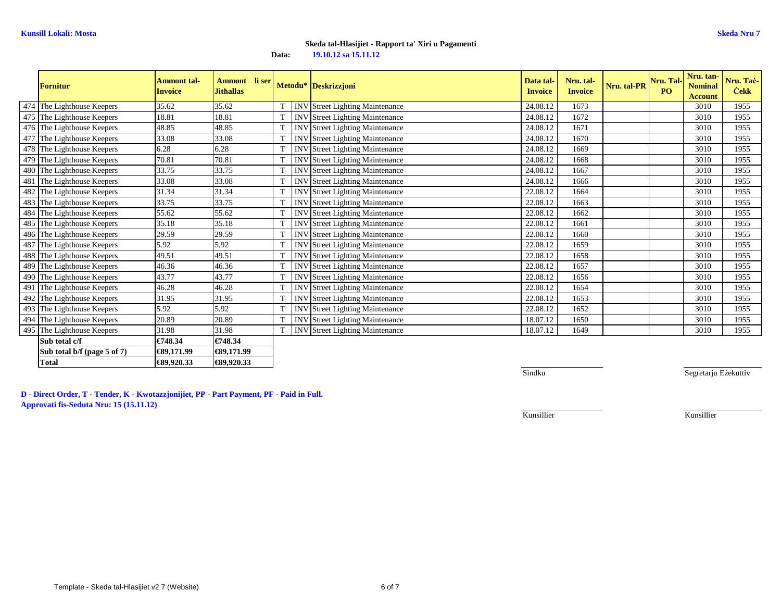|     | Fornitur                    | <b>Ammont tal-</b><br><b>Invoice</b> | Ammont li ser<br><b>Jithallas</b> |   | Metodu* Deskrizzjoni                   | Data tal-<br><b>Invoice</b> | Nru. tal-<br><b>Invoice</b> | Nru. tal-PR | Nru. Tal-<br><b>PO</b> | Nru. tan-<br><b>Nominal</b><br><b>Account</b> | Nru. Taċ-<br><b>Cekk</b> |
|-----|-----------------------------|--------------------------------------|-----------------------------------|---|----------------------------------------|-----------------------------|-----------------------------|-------------|------------------------|-----------------------------------------------|--------------------------|
|     | 474 The Lighthouse Keepers  | 35.62                                | 35.62                             |   | <b>INV</b> Street Lighting Maintenance | 24.08.12                    | 1673                        |             |                        | 3010                                          | 1955                     |
|     | 475 The Lighthouse Keepers  | 18.81                                | 18.81                             |   | <b>INV</b> Street Lighting Maintenance | 24.08.12                    | 1672                        |             |                        | 3010                                          | 1955                     |
|     | 476 The Lighthouse Keepers  | 48.85                                | 48.85                             | T | <b>INV</b> Street Lighting Maintenance | 24.08.12                    | 1671                        |             |                        | 3010                                          | 1955                     |
|     | 477 The Lighthouse Keepers  | 33.08                                | 33.08                             |   | <b>INV</b> Street Lighting Maintenance | 24.08.12                    | 1670                        |             |                        | 3010                                          | 1955                     |
|     | 478 The Lighthouse Keepers  | 6.28                                 | 6.28                              | T | <b>INV</b> Street Lighting Maintenance | 24.08.12                    | 1669                        |             |                        | 3010                                          | 1955                     |
|     | 479 The Lighthouse Keepers  | 70.81                                | 70.81                             | T | <b>INV</b> Street Lighting Maintenance | 24.08.12                    | 1668                        |             |                        | 3010                                          | 1955                     |
|     | 480 The Lighthouse Keepers  | 33.75                                | 33.75                             |   | <b>INV Street Lighting Maintenance</b> | 24.08.12                    | 1667                        |             |                        | 3010                                          | 1955                     |
| 481 | The Lighthouse Keepers      | 33.08                                | 33.08                             | T | <b>INV</b> Street Lighting Maintenance | 24.08.12                    | 1666                        |             |                        | 3010                                          | 1955                     |
|     | 482 The Lighthouse Keepers  | 31.34                                | 31.34                             |   | INV Street Lighting Maintenance        | 22.08.12                    | 1664                        |             |                        | 3010                                          | 1955                     |
|     | 483 The Lighthouse Keepers  | 33.75                                | 33.75                             | T | <b>INV</b> Street Lighting Maintenance | 22.08.12                    | 1663                        |             |                        | 3010                                          | 1955                     |
|     | 484 The Lighthouse Keepers  | 55.62                                | 55.62                             |   | <b>INV</b> Street Lighting Maintenance | 22.08.12                    | 1662                        |             |                        | 3010                                          | 1955                     |
|     | 485 The Lighthouse Keepers  | 35.18                                | 35.18                             |   | <b>INV</b> Street Lighting Maintenance | 22.08.12                    | 1661                        |             |                        | 3010                                          | 1955                     |
|     | 486 The Lighthouse Keepers  | 29.59                                | 29.59                             | T | <b>INV Street Lighting Maintenance</b> | 22.08.12                    | 1660                        |             |                        | 3010                                          | 1955                     |
|     | 487 The Lighthouse Keepers  | 5.92                                 | 5.92                              | T | <b>INV</b> Street Lighting Maintenance | 22.08.12                    | 1659                        |             |                        | 3010                                          | 1955                     |
|     | 488 The Lighthouse Keepers  | 49.51                                | 49.51                             | T | <b>INV</b> Street Lighting Maintenance | 22.08.12                    | 1658                        |             |                        | 3010                                          | 1955                     |
|     | 489 The Lighthouse Keepers  | 46.36                                | 46.36                             |   | <b>INV</b> Street Lighting Maintenance | 22.08.12                    | 1657                        |             |                        | 3010                                          | 1955                     |
|     | 490 The Lighthouse Keepers  | 43.77                                | 43.77                             | T | <b>INV Street Lighting Maintenance</b> | 22.08.12                    | 1656                        |             |                        | 3010                                          | 1955                     |
|     | 491 The Lighthouse Keepers  | 46.28                                | 46.28                             |   | <b>INV</b> Street Lighting Maintenance | 22.08.12                    | 1654                        |             |                        | 3010                                          | 1955                     |
|     | 492 The Lighthouse Keepers  | 31.95                                | 31.95                             | T | <b>INV</b> Street Lighting Maintenance | 22.08.12                    | 1653                        |             |                        | 3010                                          | 1955                     |
|     | 493 The Lighthouse Keepers  | 5.92                                 | 5.92                              |   | <b>INV Street Lighting Maintenance</b> | 22.08.12                    | 1652                        |             |                        | 3010                                          | 1955                     |
|     | 494 The Lighthouse Keepers  | 20.89                                | 20.89                             |   | <b>INV</b> Street Lighting Maintenance | 18.07.12                    | 1650                        |             |                        | 3010                                          | 1955                     |
|     | 495 The Lighthouse Keepers  | 31.98                                | 31.98                             |   | <b>INV</b> Street Lighting Maintenance | 18.07.12                    | 1649                        |             |                        | 3010                                          | 1955                     |
|     | Sub total c/f               | €748.34                              | €748.34                           |   |                                        |                             |                             |             |                        |                                               |                          |
|     | Sub total b/f (page 5 of 7) | €89,171.99                           | €89,171.99                        |   |                                        |                             |                             |             |                        |                                               |                          |

Sindku

Segretarju Eżekuttiv

**D - Direct Order, T - Tender, K - Kwotazzjonijiet, PP - Part Payment, PF - Paid in Full.Approvati fis-Seduta Nru: 15 (15.11.12)**

€89,920.33

Kunsillier

Kunsillier

**Total €89,920.33 €89,920.33**